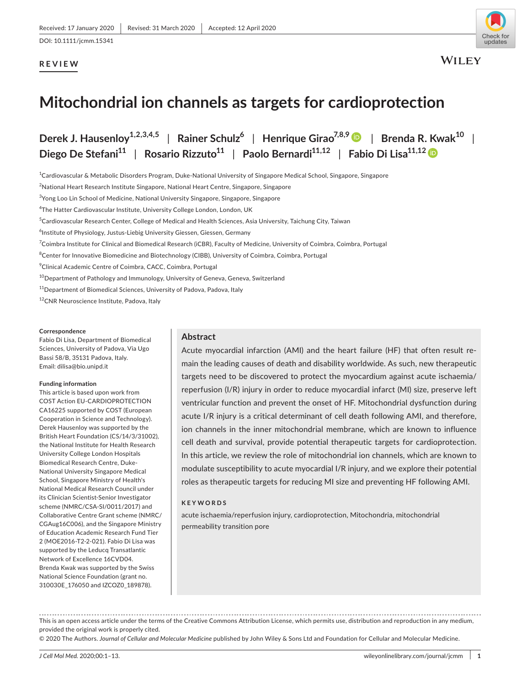# **REVIEW**



**WILEY** 

# **Mitochondrial ion channels as targets for cardioprotection**

**Derek J. Hausenloy1,2,3,4,5** | **Rainer Schulz<sup>6</sup>** | **Henrique Girao7,8,9** | **Brenda R. Kwak10** | **Diego De Stefani11** | **Rosario Rizzuto11** | **Paolo Bernardi11,12** | **Fabio Di Lisa11,1[2](https://orcid.org/0000-0003-0705-7539)**

 $^{\rm 1}$ Cardiovascular & Metabolic Disorders Program, Duke-National University of Singapore Medical School, Singapore, Singapore

 $^{2}$ National Heart Research Institute Singapore, National Heart Centre, Singapore, Singapore

<sup>3</sup>Yong Loo Lin School of Medicine, National University Singapore, Singapore, Singapore

<sup>4</sup>The Hatter Cardiovascular Institute, University College London, London, UK

<sup>5</sup>Cardiovascular Research Center, College of Medical and Health Sciences, Asia University, Taichung City, Taiwan

<sup>6</sup>Institute of Physiology, Justus-Liebig University Giessen, Giessen, Germany

<sup>7</sup>Coimbra Institute for Clinical and Biomedical Research (iCBR), Faculty of Medicine, University of Coimbra, Coimbra, Portugal

 $^8$ Center for Innovative Biomedicine and Biotechnology (CIBB), University of Coimbra, Coimbra, Portugal

9 Clinical Academic Centre of Coimbra, CACC, Coimbra, Portugal

<sup>10</sup> Department of Pathology and Immunology, University of Geneva, Geneva, Switzerland

<sup>11</sup>Department of Biomedical Sciences, University of Padova, Padova, Italy

12CNR Neuroscience Institute, Padova, Italy

#### **Correspondence**

Fabio Di Lisa, Department of Biomedical Sciences, University of Padova, Via Ugo Bassi 58/B, 35131 Padova, Italy. Email: [dilisa@bio.unipd.it](mailto:dilisa@bio.unipd.it)

#### **Funding information**

This article is based upon work from COST Action EU-CARDIOPROTECTION CA16225 supported by COST (European Cooperation in Science and Technology). Derek Hausenloy was supported by the British Heart Foundation (CS/14/3/31002), the National Institute for Health Research University College London Hospitals Biomedical Research Centre, Duke-National University Singapore Medical School, Singapore Ministry of Health's National Medical Research Council under its Clinician Scientist-Senior Investigator scheme (NMRC/CSA-SI/0011/2017) and Collaborative Centre Grant scheme (NMRC/ CGAug16C006), and the Singapore Ministry of Education Academic Research Fund Tier 2 (MOE2016-T2-2-021). Fabio Di Lisa was supported by the Leducq Transatlantic Network of Excellence 16CVD04. Brenda Kwak was supported by the Swiss National Science Foundation (grant no. 310030E\_176050 and IZCOZ0\_189878).

### **Abstract**

Acute myocardial infarction (AMI) and the heart failure (HF) that often result remain the leading causes of death and disability worldwide. As such, new therapeutic targets need to be discovered to protect the myocardium against acute ischaemia/ reperfusion (I/R) injury in order to reduce myocardial infarct (MI) size, preserve left ventricular function and prevent the onset of HF. Mitochondrial dysfunction during acute I/R injury is a critical determinant of cell death following AMI, and therefore, ion channels in the inner mitochondrial membrane, which are known to influence cell death and survival, provide potential therapeutic targets for cardioprotection. In this article, we review the role of mitochondrial ion channels, which are known to modulate susceptibility to acute myocardial I/R injury, and we explore their potential roles as therapeutic targets for reducing MI size and preventing HF following AMI.

#### **KEYWORDS**

acute ischaemia/reperfusion injury, cardioprotection, Mitochondria, mitochondrial permeability transition pore

This is an open access article under the terms of the [Creative Commons Attribution](http://creativecommons.org/licenses/by/4.0/) License, which permits use, distribution and reproduction in any medium, provided the original work is properly cited.

© 2020 The Authors. *Journal of Cellular and Molecular Medicine* published by John Wiley & Sons Ltd and Foundation for Cellular and Molecular Medicine.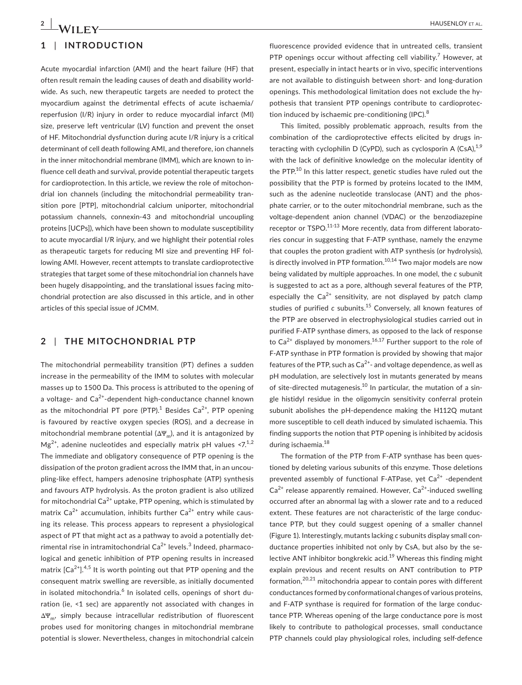# **1** | **INTRODUCTION**

Acute myocardial infarction (AMI) and the heart failure (HF) that often result remain the leading causes of death and disability worldwide. As such, new therapeutic targets are needed to protect the myocardium against the detrimental effects of acute ischaemia/ reperfusion (I/R) injury in order to reduce myocardial infarct (MI) size, preserve left ventricular (LV) function and prevent the onset of HF. Mitochondrial dysfunction during acute I/R injury is a critical determinant of cell death following AMI, and therefore, ion channels in the inner mitochondrial membrane (IMM), which are known to influence cell death and survival, provide potential therapeutic targets for cardioprotection. In this article, we review the role of mitochondrial ion channels (including the mitochondrial permeability transition pore [PTP], mitochondrial calcium uniporter, mitochondrial potassium channels, connexin-43 and mitochondrial uncoupling proteins [UCPs]), which have been shown to modulate susceptibility to acute myocardial I/R injury, and we highlight their potential roles as therapeutic targets for reducing MI size and preventing HF following AMI. However, recent attempts to translate cardioprotective strategies that target some of these mitochondrial ion channels have been hugely disappointing, and the translational issues facing mitochondrial protection are also discussed in this article, and in other articles of this special issue of JCMM.

### **2** | **THE MITOCHONDRIAL PTP**

The mitochondrial permeability transition (PT) defines a sudden increase in the permeability of the IMM to solutes with molecular masses up to 1500 Da. This process is attributed to the opening of a voltage- and Ca<sup>2+</sup>-dependent high-conductance channel known as the mitochondrial PT pore (PTP). $^{1}$  Besides Ca<sup>2+</sup>, PTP opening is favoured by reactive oxygen species (ROS), and a decrease in mitochondrial membrane potential  $(\Delta \Psi_m)$ , and it is antagonized by  $Mg^{2+}$ , adenine nucleotides and especially matrix pH values <7.<sup>1,2</sup> The immediate and obligatory consequence of PTP opening is the dissipation of the proton gradient across the IMM that, in an uncoupling-like effect, hampers adenosine triphosphate (ATP) synthesis and favours ATP hydrolysis. As the proton gradient is also utilized for mitochondrial  $Ca^{2+}$  uptake, PTP opening, which is stimulated by matrix  $Ca^{2+}$  accumulation, inhibits further  $Ca^{2+}$  entry while causing its release. This process appears to represent a physiological aspect of PT that might act as a pathway to avoid a potentially detrimental rise in intramitochondrial Ca $^{2+}$  levels. $^3$  Indeed, pharmacological and genetic inhibition of PTP opening results in increased matrix  $[Ca^{2+}].^{4,5}$  It is worth pointing out that PTP opening and the consequent matrix swelling are reversible, as initially documented in isolated mitochondria.<sup>6</sup> In isolated cells, openings of short duration (ie, <1 sec) are apparently not associated with changes in  $\Delta \Psi_{\rm m}$ , simply because intracellular redistribution of fluorescent probes used for monitoring changes in mitochondrial membrane potential is slower. Nevertheless, changes in mitochondrial calcein

fluorescence provided evidence that in untreated cells, transient PTP openings occur without affecting cell viability.<sup>7</sup> However, at present, especially in intact hearts or in vivo, specific interventions are not available to distinguish between short- and long-duration openings. This methodological limitation does not exclude the hypothesis that transient PTP openings contribute to cardioprotection induced by ischaemic pre-conditioning (IPC). $8$ 

This limited, possibly problematic approach, results from the combination of the cardioprotective effects elicited by drugs interacting with cyclophilin D (CyPD), such as cyclosporin A (CsA), $^{1,9}$ with the lack of definitive knowledge on the molecular identity of the PTP.<sup>10</sup> In this latter respect, genetic studies have ruled out the possibility that the PTP is formed by proteins located to the IMM, such as the adenine nucleotide translocase (ANT) and the phosphate carrier, or to the outer mitochondrial membrane, such as the voltage-dependent anion channel (VDAC) or the benzodiazepine receptor or TSPO.<sup>11-13</sup> More recently, data from different laboratories concur in suggesting that F-ATP synthase, namely the enzyme that couples the proton gradient with ATP synthesis (or hydrolysis), is directly involved in PTP formation.<sup>10,14</sup> Two major models are now being validated by multiple approaches. In one model, the *c* subunit is suggested to act as a pore, although several features of the PTP, especially the  $Ca^{2+}$  sensitivity, are not displayed by patch clamp studies of purified *c* subunits.<sup>15</sup> Conversely, all known features of the PTP are observed in electrophysiological studies carried out in purified F-ATP synthase dimers, as opposed to the lack of response to  $Ca^{2+}$  displayed by monomers.<sup>16,17</sup> Further support to the role of F-ATP synthase in PTP formation is provided by showing that major features of the PTP, such as  $Ca<sup>2+</sup>$ - and voltage dependence, as well as pH modulation, are selectively lost in mutants generated by means of site-directed mutagenesis.<sup>10</sup> In particular, the mutation of a single histidyl residue in the oligomycin sensitivity conferral protein subunit abolishes the pH-dependence making the H112Q mutant more susceptible to cell death induced by simulated ischaemia. This finding supports the notion that PTP opening is inhibited by acidosis during ischaemia.<sup>18</sup>

The formation of the PTP from F-ATP synthase has been questioned by deleting various subunits of this enzyme. Those deletions prevented assembly of functional F-ATPase, yet  $Ca<sup>2+</sup>$  -dependent  $Ca<sup>2+</sup>$  release apparently remained. However,  $Ca<sup>2+</sup>$ -induced swelling occurred after an abnormal lag with a slower rate and to a reduced extent. These features are not characteristic of the large conductance PTP, but they could suggest opening of a smaller channel (Figure 1). Interestingly, mutants lacking *c* subunits display small conductance properties inhibited not only by CsA, but also by the selective ANT inhibitor bongkrekic acid.<sup>19</sup> Whereas this finding might explain previous and recent results on ANT contribution to PTP formation, $20,21$  mitochondria appear to contain pores with different conductances formed by conformational changes of various proteins, and F-ATP synthase is required for formation of the large conductance PTP. Whereas opening of the large conductance pore is most likely to contribute to pathological processes, small conductance PTP channels could play physiological roles, including self-defence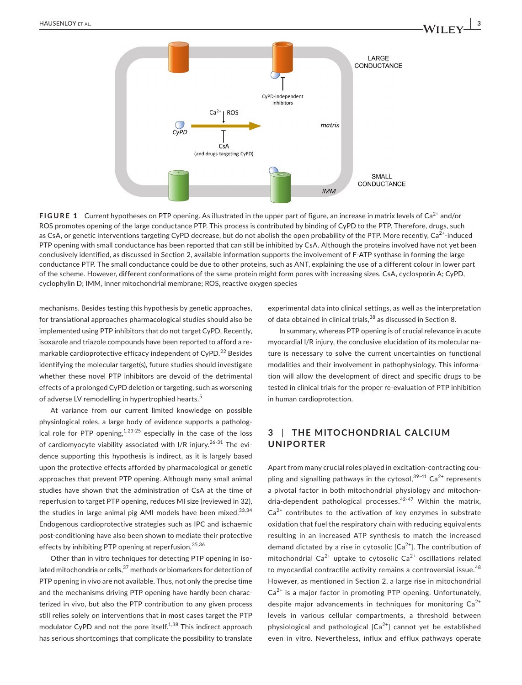

**FIGURE 1** Current hypotheses on PTP opening. As illustrated in the upper part of figure, an increase in matrix levels of Ca<sup>2+</sup> and/or ROS promotes opening of the large conductance PTP. This process is contributed by binding of CyPD to the PTP. Therefore, drugs, such as CsA, or genetic interventions targeting CyPD decrease, but do not abolish the open probability of the PTP. More recently,  $Ca^{2+}$ -induced PTP opening with small conductance has been reported that can still be inhibited by CsA. Although the proteins involved have not yet been conclusively identified, as discussed in Section 2, available information supports the involvement of F-ATP synthase in forming the large conductance PTP. The small conductance could be due to other proteins, such as ANT, explaining the use of a different colour in lower part of the scheme. However, different conformations of the same protein might form pores with increasing sizes. CsA, cyclosporin A; CyPD, cyclophylin D; IMM, inner mitochondrial membrane; ROS, reactive oxygen species

mechanisms. Besides testing this hypothesis by genetic approaches, for translational approaches pharmacological studies should also be implemented using PTP inhibitors that do not target CyPD. Recently, isoxazole and triazole compounds have been reported to afford a remarkable cardioprotective efficacy independent of CyPD.<sup>22</sup> Besides identifying the molecular target(s), future studies should investigate whether these novel PTP inhibitors are devoid of the detrimental effects of a prolonged CyPD deletion or targeting, such as worsening of adverse LV remodelling in hypertrophied hearts.<sup>5</sup>

At variance from our current limited knowledge on possible physiological roles, a large body of evidence supports a pathological role for PTP opening,  $1,23-25$  especially in the case of the loss of cardiomyocyte viability associated with I/R injury.<sup>26-31</sup> The evidence supporting this hypothesis is indirect, as it is largely based upon the protective effects afforded by pharmacological or genetic approaches that prevent PTP opening. Although many small animal studies have shown that the administration of CsA at the time of reperfusion to target PTP opening, reduces MI size (reviewed in 32), the studies in large animal pig AMI models have been mixed. $33,34$ Endogenous cardioprotective strategies such as IPC and ischaemic post-conditioning have also been shown to mediate their protective effects by inhibiting PTP opening at reperfusion.<sup>35,36</sup>

Other than in vitro techniques for detecting PTP opening in isolated mitochondria or cells, $37$  methods or biomarkers for detection of PTP opening in vivo are not available. Thus, not only the precise time and the mechanisms driving PTP opening have hardly been characterized in vivo, but also the PTP contribution to any given process still relies solely on interventions that in most cases target the PTP modulator CyPD and not the pore itself.<sup>1,38</sup> This indirect approach has serious shortcomings that complicate the possibility to translate experimental data into clinical settings, as well as the interpretation of data obtained in clinical trials,<sup>38</sup> as discussed in Section 8.

In summary, whereas PTP opening is of crucial relevance in acute myocardial I/R injury, the conclusive elucidation of its molecular nature is necessary to solve the current uncertainties on functional modalities and their involvement in pathophysiology. This information will allow the development of direct and specific drugs to be tested in clinical trials for the proper re-evaluation of PTP inhibition in human cardioprotection.

# **3** | **THE MITOCHONDRIAL C ALCIUM UNIPORTER**

Apart from many crucial roles played in excitation-contracting coupling and signalling pathways in the cytosol,  $39-41$  Ca<sup>2+</sup> represents a pivotal factor in both mitochondrial physiology and mitochondria-dependent pathological processes.<sup>42-47</sup> Within the matrix,  $Ca<sup>2+</sup>$  contributes to the activation of key enzymes in substrate oxidation that fuel the respiratory chain with reducing equivalents resulting in an increased ATP synthesis to match the increased demand dictated by a rise in cytosolic  $[Ca<sup>2+</sup>]$ . The contribution of mitochondrial Ca<sup>2+</sup> uptake to cytosolic Ca<sup>2+</sup> oscillations related to myocardial contractile activity remains a controversial issue.<sup>48</sup> However, as mentioned in Section 2, a large rise in mitochondrial  $Ca<sup>2+</sup>$  is a major factor in promoting PTP opening. Unfortunately, despite major advancements in techniques for monitoring  $Ca<sup>2+</sup>$ levels in various cellular compartments, a threshold between physiological and pathological  $[Ca^{2+}]$  cannot yet be established even in vitro. Nevertheless, influx and efflux pathways operate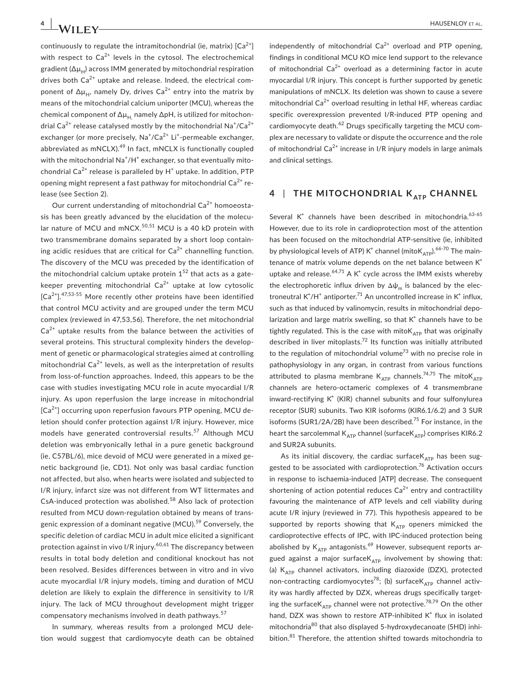continuously to regulate the intramitochondrial (ie, matrix)  $[Ca^{2+}]$ with respect to  $Ca^{2+}$  levels in the cytosol. The electrochemical gradient ( $\Delta \mu_H$ ) across IMM generated by mitochondrial respiration drives both  $Ca^{2+}$  uptake and release. Indeed, the electrical component of  $\Delta \mu_H$ , namely Dy, drives Ca<sup>2+</sup> entry into the matrix by means of the mitochondrial calcium uniporter (MCU), whereas the chemical component of  $\Delta\mu_H$  namely  $\Delta$ pH, is utilized for mitochondrial Ca<sup>2+</sup> release catalysed mostly by the mitochondrial Na $^{\ast}$ /Ca $^{2+}$ exchanger (or more precisely, Na<sup>+</sup>/Ca<sup>2+</sup> Li<sup>+</sup>-permeable exchanger, abbreviated as  $mNCLX$ ).<sup>49</sup> In fact,  $mNCLX$  is functionally coupled with the mitochondrial Na<sup>+</sup>/H<sup>+</sup> exchanger, so that eventually mitochondrial  $Ca^{2+}$  release is paralleled by  $H^+$  uptake. In addition, PTP opening might represent a fast pathway for mitochondrial  $Ca^{2+}$  release (see Section 2).

Our current understanding of mitochondrial  $Ca<sup>2+</sup>$  homoeostasis has been greatly advanced by the elucidation of the molecular nature of MCU and  $mNCX$ <sup>50,51</sup> MCU is a 40 kD protein with two transmembrane domains separated by a short loop containing acidic residues that are critical for  $Ca<sup>2+</sup>$  channelling function. The discovery of the MCU was preceded by the identification of the mitochondrial calcium uptake protein  $1^{52}$  that acts as a gatekeeper preventing mitochondrial  $Ca^{2+}$  uptake at low cytosolic  $[Ca<sup>2+</sup>]$ <sup>47,53-55</sup> More recently other proteins have been identified that control MCU activity and are grouped under the term MCU complex (reviewed in 47,53,56). Therefore, the net mitochondrial  $Ca<sup>2+</sup>$  uptake results from the balance between the activities of several proteins. This structural complexity hinders the development of genetic or pharmacological strategies aimed at controlling mitochondrial  $Ca^{2+}$  levels, as well as the interpretation of results from loss-of-function approaches. Indeed, this appears to be the case with studies investigating MCU role in acute myocardial I/R injury. As upon reperfusion the large increase in mitochondrial  $[Ca<sup>2+</sup>]$  occurring upon reperfusion favours PTP opening, MCU deletion should confer protection against I/R injury. However, mice models have generated controversial results.<sup>57</sup> Although MCU deletion was embryonically lethal in a pure genetic background (ie, C57BL/6), mice devoid of MCU were generated in a mixed genetic background (ie, CD1). Not only was basal cardiac function not affected, but also, when hearts were isolated and subjected to I/R injury, infarct size was not different from WT littermates and CsA-induced protection was abolished.<sup>58</sup> Also lack of protection resulted from MCU down-regulation obtained by means of transgenic expression of a dominant negative (MCU).<sup>59</sup> Conversely, the specific deletion of cardiac MCU in adult mice elicited a significant protection against in vivo I/R injury.<sup>60,61</sup> The discrepancy between results in total body deletion and conditional knockout has not been resolved. Besides differences between in vitro and in vivo acute myocardial I/R injury models, timing and duration of MCU deletion are likely to explain the difference in sensitivity to I/R injury. The lack of MCU throughout development might trigger compensatory mechanisms involved in death pathways.<sup>57</sup>

In summary, whereas results from a prolonged MCU deletion would suggest that cardiomyocyte death can be obtained independently of mitochondrial  $Ca^{2+}$  overload and PTP opening. findings in conditional MCU KO mice lend support to the relevance of mitochondrial  $Ca^{2+}$  overload as a determining factor in acute myocardial I/R injury. This concept is further supported by genetic manipulations of mNCLX. Its deletion was shown to cause a severe mitochondrial  $Ca^{2+}$  overload resulting in lethal HF, whereas cardiac specific overexpression prevented I/R-induced PTP opening and cardiomyocyte death. $^{62}$  Drugs specifically targeting the MCU complex are necessary to validate or dispute the occurrence and the role of mitochondrial  $Ca^{2+}$  increase in I/R injury models in large animals and clinical settings.

# **4** | **THE MITOCHONDRIAL K ATP CHANNEL**

Several  $K^+$  channels have been described in mitochondria.  $63-65$ However, due to its role in cardioprotection most of the attention has been focused on the mitochondrial ATP-sensitive (ie, inhibited by physiological levels of ATP) K $^{\text{+}}$  channel (mitoK<sub>ATP</sub>).<sup>66-70</sup> The maintenance of matrix volume depends on the net balance between  $K^+$ uptake and release. $64,71$  A K<sup>+</sup> cycle across the IMM exists whereby the electrophoretic influx driven by  $\Delta\psi_m$  is balanced by the electroneutral  $K^{\dagger}/H^{\dagger}$  antiporter.<sup>71</sup> An uncontrolled increase in  $K^{\dagger}$  influx, such as that induced by valinomycin, results in mitochondrial depolarization and large matrix swelling, so that  $K^+$  channels have to be tightly regulated. This is the case with mito $K_{ATP}$  that was originally described in liver mitoplasts.<sup>72</sup> Its function was initially attributed to the regulation of mitochondrial volume<sup>73</sup> with no precise role in pathophysiology in any organ, in contrast from various functions attributed to plasma membrane  $K_{ATP}$  channels.<sup>74,75</sup> The mito $K_{ATP}$ channels are hetero-octameric complexes of 4 transmembrane inward-rectifying  $K^+$  (KIR) channel subunits and four sulfonylurea receptor (SUR) subunits. Two KIR isoforms (KIR6.1/6.2) and 3 SUR isoforms (SUR1/2A/2B) have been described.<sup>75</sup> For instance, in the heart the sarcolemmal  $K_{ATP}$  channel (surface $K_{ATP}$ ) comprises KIR6.2 and SUR2A subunits.

As its initial discovery, the cardiac surface $K_{ATP}$  has been suggested to be associated with cardioprotection.<sup>76</sup> Activation occurs in response to ischaemia-induced [ATP] decrease. The consequent shortening of action potential reduces  $Ca^{2+}$  entry and contractility favouring the maintenance of ATP levels and cell viability during acute I/R injury (reviewed in 77). This hypothesis appeared to be supported by reports showing that  $K_{ATP}$  openers mimicked the cardioprotective effects of IPC, with IPC-induced protection being abolished by  $K_{ATP}$  antagonists.<sup>69</sup> However, subsequent reports argued against a major surface $K_{ATP}$  involvement by showing that: (a)  $K_{ATP}$  channel activators, including diazoxide (DZX), protected non-contracting cardiomyocytes<sup>78</sup>; (b) surface $K_{ATP}$  channel activity was hardly affected by DZX, whereas drugs specifically targeting the surface $K_{ATP}$  channel were not protective.<sup>78,79</sup> On the other hand, DZX was shown to restore ATP-inhibited  $K^+$  flux in isolated mitochondria<sup>80</sup> that also displayed 5-hydroxydecanoate (5HD) inhibition.<sup>81</sup> Therefore, the attention shifted towards mitochondria to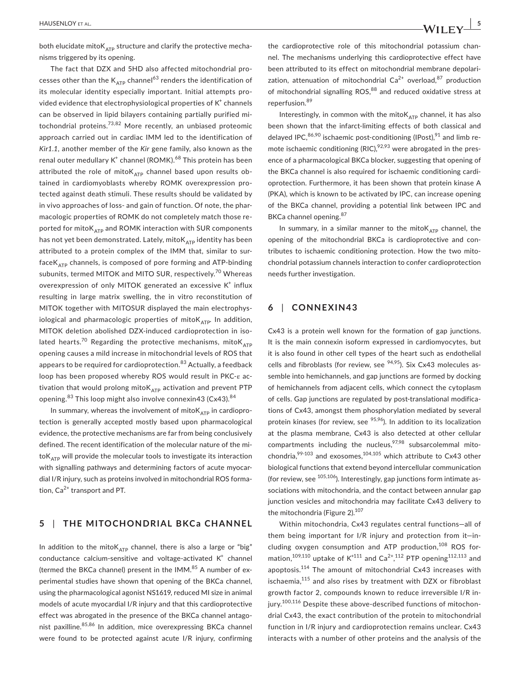both elucidate mito $K_{ATP}$  structure and clarify the protective mechanisms triggered by its opening.

The fact that DZX and 5HD also affected mitochondrial processes other than the  $K_{ATD}$  channel<sup>63</sup> renders the identification of its molecular identity especially important. Initial attempts provided evidence that electrophysiological properties of  $K^+$  channels can be observed in lipid bilayers containing partially purified mitochondrial proteins.<sup>73,82</sup> More recently, an unbiased proteomic approach carried out in cardiac IMM led to the identification of *Kir1.1*, another member of the *Kir* gene family, also known as the renal outer medullary K $^{\text{+}}$  channel (ROMK). $^{68}$  This protein has been attributed the role of mito $K_{ATP}$  channel based upon results obtained in cardiomyoblasts whereby ROMK overexpression protected against death stimuli. These results should be validated by in vivo approaches of loss- and gain of function. Of note, the pharmacologic properties of ROMK do not completely match those reported for mito $K_{ATD}$  and ROMK interaction with SUR components has not yet been demonstrated. Lately, mito $K_{ATP}$  identity has been attributed to a protein complex of the IMM that, similar to sur $faceK<sub>ATP</sub> channels, is composed of pore forming and ATP-binding$ subunits, termed MITOK and MITO SUR, respectively.<sup>70</sup> Whereas overexpression of only MITOK generated an excessive  $K^+$  influx resulting in large matrix swelling, the in vitro reconstitution of MITOK together with MITOSUR displayed the main electrophysiological and pharmacologic properties of mito $K_{ATP}$ . In addition, MITOK deletion abolished DZX-induced cardioprotection in isolated hearts.<sup>70</sup> Regarding the protective mechanisms, mito $K_{ATP}$ opening causes a mild increase in mitochondrial levels of ROS that appears to be required for cardioprotection.<sup>83</sup> Actually, a feedback loop has been proposed whereby ROS would result in PKC-ε activation that would prolong mito $K_{ATP}$  activation and prevent PTP opening.<sup>83</sup> This loop might also involve connexin43 (Cx43).<sup>84</sup>

In summary, whereas the involvement of mito $K_{ATP}$  in cardioprotection is generally accepted mostly based upon pharmacological evidence, the protective mechanisms are far from being conclusively defined. The recent identification of the molecular nature of the mito $K_{ATP}$  will provide the molecular tools to investigate its interaction with signalling pathways and determining factors of acute myocardial I/R injury, such as proteins involved in mitochondrial ROS formation,  $Ca^{2+}$  transport and PT.

### **5** | **THE MITOCHONDRIAL BKCa CHANNEL**

In addition to the mito $K_{ATP}$  channel, there is also a large or "big" conductance calcium-sensitive and voltage-activated  $K^+$  channel (termed the BKCa channel) present in the IMM.<sup>85</sup> A number of experimental studies have shown that opening of the BKCa channel, using the pharmacological agonist NS1619, reduced MI size in animal models of acute myocardial I/R injury and that this cardioprotective effect was abrogated in the presence of the BKCa channel antagonist paxilline. 85,86 In addition, mice overexpressing BKCa channel were found to be protected against acute I/R injury, confirming the cardioprotective role of this mitochondrial potassium channel. The mechanisms underlying this cardioprotective effect have been attributed to its effect on mitochondrial membrane depolarization, attenuation of mitochondrial  $Ca^{2+}$  overload.<sup>87</sup> production of mitochondrial signalling ROS,<sup>88</sup> and reduced oxidative stress at reperfusion.<sup>89</sup>

Interestingly, in common with the mito $K_{ATP}$  channel, it has also been shown that the infarct-limiting effects of both classical and delaved IPC, $86,90$  ischaemic post-conditioning (IPost), $91$  and limb remote ischaemic conditioning (RIC), $92,93$  were abrogated in the presence of a pharmacological BKCa blocker, suggesting that opening of the BKCa channel is also required for ischaemic conditioning cardioprotection. Furthermore, it has been shown that protein kinase A (PKA), which is known to be activated by IPC, can increase opening of the BKCa channel, providing a potential link between IPC and BKCa channel opening.<sup>87</sup>

In summary, in a similar manner to the mito $K_{ATP}$  channel, the opening of the mitochondrial BKCa is cardioprotective and contributes to ischaemic conditioning protection. How the two mitochondrial potassium channels interaction to confer cardioprotection needs further investigation.

#### **6** | **CONNEXIN43**

Cx43 is a protein well known for the formation of gap junctions. It is the main connexin isoform expressed in cardiomyocytes, but it is also found in other cell types of the heart such as endothelial cells and fibroblasts (for review, see  $94,95$ ). Six Cx43 molecules assemble into hemichannels, and gap junctions are formed by docking of hemichannels from adjacent cells, which connect the cytoplasm of cells. Gap junctions are regulated by post-translational modifications of Cx43, amongst them phosphorylation mediated by several protein kinases (for review, see <sup>95,96</sup>). In addition to its localization at the plasma membrane, Cx43 is also detected at other cellular compartments including the nucleus,  $97,98$  subsarcolemmal mitochondria, $99-103$  and exosomes, $104,105$  which attribute to Cx43 other biological functions that extend beyond intercellular communication (for review, see <sup>105,106</sup>). Interestingly, gap junctions form intimate associations with mitochondria, and the contact between annular gap junction vesicles and mitochondria may facilitate Cx43 delivery to the mitochondria (Figure 2).<sup>107</sup>

Within mitochondria, Cx43 regulates central functions—all of them being important for I/R injury and protection from it—including oxygen consumption and ATP production,<sup>108</sup> ROS formation,<sup>109,110</sup> uptake of  $K^{+111}$  and  $Ca^{2+}, ^{112}$  PTP opening<sup>112,113</sup> and apoptosis.<sup>114</sup> The amount of mitochondrial Cx43 increases with ischaemia,<sup>115</sup> and also rises by treatment with DZX or fibroblast growth factor 2, compounds known to reduce irreversible I/R injury.<sup>100,116</sup> Despite these above-described functions of mitochondrial Cx43, the exact contribution of the protein to mitochondrial function in I/R injury and cardioprotection remains unclear. Cx43 interacts with a number of other proteins and the analysis of the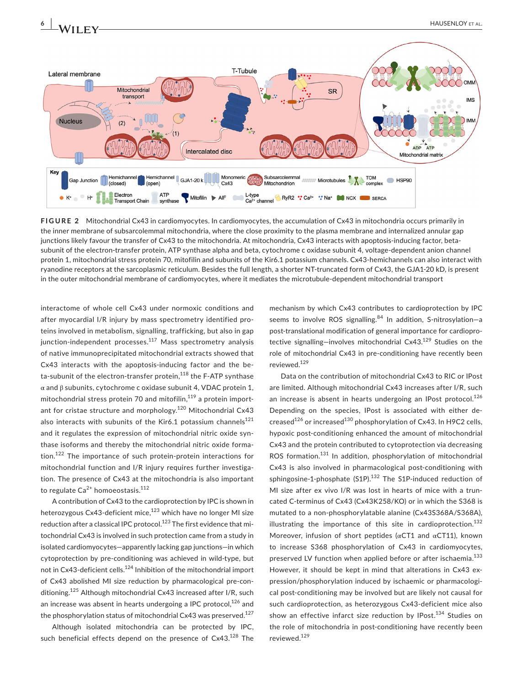



**FIGURE 2** Mitochondrial Cx43 in cardiomyocytes. In cardiomyocytes, the accumulation of Cx43 in mitochondria occurs primarily in the inner membrane of subsarcolemmal mitochondria, where the close proximity to the plasma membrane and internalized annular gap junctions likely favour the transfer of Cx43 to the mitochondria. At mitochondria, Cx43 interacts with apoptosis-inducing factor, betasubunit of the electron-transfer protein, ATP synthase alpha and beta, cytochrome c oxidase subunit 4, voltage-dependent anion channel protein 1, mitochondrial stress protein 70, mitofilin and subunits of the Kir6.1 potassium channels. Cx43-hemichannels can also interact with ryanodine receptors at the sarcoplasmic reticulum. Besides the full length, a shorter NT-truncated form of Cx43, the GJA1-20 kD, is present in the outer mitochondrial membrane of cardiomyocytes, where it mediates the microtubule-dependent mitochondrial transport

interactome of whole cell Cx43 under normoxic conditions and after myocardial I/R injury by mass spectrometry identified proteins involved in metabolism, signalling, trafficking, but also in gap junction-independent processes. $117$  Mass spectrometry analysis of native immunoprecipitated mitochondrial extracts showed that Cx43 interacts with the apoptosis-inducing factor and the beta-subunit of the electron-transfer protein,<sup>118</sup> the F-ATP synthase α and β subunits, cytochrome c oxidase subunit 4, VDAC protein 1, mitochondrial stress protein 70 and mitofilin, $119$  a protein important for cristae structure and morphology.<sup>120</sup> Mitochondrial Cx43 also interacts with subunits of the Kir6.1 potassium channels $^{121}$ and it regulates the expression of mitochondrial nitric oxide synthase isoforms and thereby the mitochondrial nitric oxide formation.<sup>122</sup> The importance of such protein-protein interactions for mitochondrial function and I/R injury requires further investigation. The presence of Cx43 at the mitochondria is also important to regulate  $Ca^{2+}$  homoeostasis.<sup>112</sup>

A contribution of Cx43 to the cardioprotection by IPC is shown in heterozygous Cx43-deficient mice,<sup>123</sup> which have no longer MI size reduction after a classical IPC protocol.<sup>123</sup> The first evidence that mitochondrial Cx43 is involved in such protection came from a study in isolated cardiomyocytes—apparently lacking gap junctions—in which cytoprotection by pre-conditioning was achieved in wild-type, but not in Cx43-deficient cells.<sup>124</sup> Inhibition of the mitochondrial import of Cx43 abolished MI size reduction by pharmacological pre-conditioning.<sup>125</sup> Although mitochondrial Cx43 increased after I/R, such an increase was absent in hearts undergoing a IPC protocol, $126$  and the phosphorylation status of mitochondrial Cx43 was preserved.<sup>127</sup>

Although isolated mitochondria can be protected by IPC, such beneficial effects depend on the presence of Cx43.<sup>128</sup> The

mechanism by which Cx43 contributes to cardioprotection by IPC seems to involve ROS signalling. $84$  In addition, S-nitrosylation-a post-translational modification of general importance for cardioprotective signalling—involves mitochondrial  $Cx43<sup>129</sup>$  Studies on the role of mitochondrial Cx43 in pre-conditioning have recently been reviewed.129

Data on the contribution of mitochondrial Cx43 to RIC or IPost are limited. Although mitochondrial Cx43 increases after I/R, such an increase is absent in hearts undergoing an IPost protocol.<sup>126</sup> Depending on the species, IPost is associated with either decreased<sup>126</sup> or increased<sup>130</sup> phosphorylation of Cx43. In H9C2 cells, hypoxic post-conditioning enhanced the amount of mitochondrial Cx43 and the protein contributed to cytoprotection via decreasing ROS formation.<sup>131</sup> In addition, phosphorylation of mitochondrial Cx43 is also involved in pharmacological post-conditioning with sphingosine-1-phosphate (S1P). $132$  The S1P-induced reduction of MI size after ex vivo I/R was lost in hearts of mice with a truncated C-terminus of Cx43 (Cx43K258/KO) or in which the S368 is mutated to a non-phosphorylatable alanine (Cx43S368A/S368A), illustrating the importance of this site in cardioprotection.<sup>132</sup> Moreover, infusion of short peptides (αCT1 and αCT11), known to increase S368 phosphorylation of Cx43 in cardiomyocytes, preserved LV function when applied before or after ischaemia.<sup>133</sup> However, it should be kept in mind that alterations in Cx43 expression/phosphorylation induced by ischaemic or pharmacological post-conditioning may be involved but are likely not causal for such cardioprotection, as heterozygous Cx43-deficient mice also show an effective infarct size reduction by IPost.<sup>134</sup> Studies on the role of mitochondria in post-conditioning have recently been reviewed.129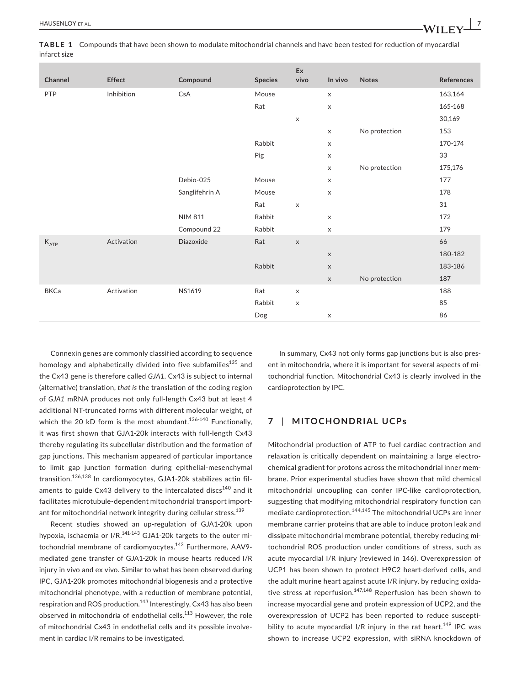| Channel     | Effect     | Compound       | <b>Species</b> | Ex<br>vivo  | In vivo                   | <b>Notes</b>  | References |
|-------------|------------|----------------|----------------|-------------|---------------------------|---------------|------------|
| PTP         | Inhibition | CsA            | Mouse          |             | $\mathsf X$               |               | 163,164    |
|             |            |                | Rat            |             | $\pmb{\times}$            |               | 165-168    |
|             |            |                |                | $\mathsf X$ |                           |               | 30,169     |
|             |            |                |                |             | X                         | No protection | 153        |
|             |            |                | Rabbit         |             | X                         |               | 170-174    |
|             |            |                | Pig            |             | X                         |               | 33         |
|             |            |                |                |             | X                         | No protection | 175,176    |
|             |            | Debio-025      | Mouse          |             | X                         |               | 177        |
|             |            | Sanglifehrin A | Mouse          |             | $\boldsymbol{\mathsf{X}}$ |               | 178        |
|             |            |                | Rat            | $\mathsf X$ |                           |               | 31         |
|             |            | <b>NIM 811</b> | Rabbit         |             | $\mathsf X$               |               | 172        |
|             |            | Compound 22    | Rabbit         |             | X                         |               | 179        |
| $K_{ATP}$   | Activation | Diazoxide      | Rat            | $\mathsf X$ |                           |               | 66         |
|             |            |                |                |             | $\mathsf X$               |               | 180-182    |
|             |            |                | Rabbit         |             | $\mathsf X$               |               | 183-186    |
|             |            |                |                |             | $\mathsf X$               | No protection | 187        |
| <b>BKCa</b> | Activation | NS1619         | Rat            | $\mathsf X$ |                           |               | 188        |
|             |            |                | Rabbit         | $\mathsf X$ |                           |               | 85         |
|             |            |                | Dog            |             | X                         |               | 86         |

Connexin genes are commonly classified according to sequence homology and alphabetically divided into five subfamilies<sup>135</sup> and the Cx43 gene is therefore called *GJA1*. Cx43 is subject to internal (alternative) translation, *that is* the translation of the coding region of *GJA1* mRNA produces not only full-length Cx43 but at least 4 additional NT-truncated forms with different molecular weight, of which the 20 kD form is the most abundant. $136-140$  Functionally, it was first shown that GJA1-20k interacts with full-length Cx43 thereby regulating its subcellular distribution and the formation of gap junctions. This mechanism appeared of particular importance to limit gap junction formation during epithelial-mesenchymal transition.136,138 In cardiomyocytes, GJA1-20k stabilizes actin filaments to guide Cx43 delivery to the intercalated discs $140$  and it facilitates microtubule-dependent mitochondrial transport important for mitochondrial network integrity during cellular stress.<sup>139</sup>

Recent studies showed an up-regulation of GJA1-20k upon hypoxia, ischaemia or  $I/R$ .<sup>141-143</sup> GJA1-20k targets to the outer mitochondrial membrane of cardiomyocytes.<sup>143</sup> Furthermore, AAV9mediated gene transfer of GJA1-20k in mouse hearts reduced I/R injury in vivo and ex vivo*.* Similar to what has been observed during IPC, GJA1-20k promotes mitochondrial biogenesis and a protective mitochondrial phenotype, with a reduction of membrane potential, respiration and ROS production.<sup>143</sup> Interestingly, Cx43 has also been observed in mitochondria of endothelial cells.<sup>113</sup> However, the role of mitochondrial Cx43 in endothelial cells and its possible involvement in cardiac I/R remains to be investigated.

In summary, Cx43 not only forms gap junctions but is also present in mitochondria, where it is important for several aspects of mitochondrial function. Mitochondrial Cx43 is clearly involved in the cardioprotection by IPC.

# **7** | **MITOCHONDRIAL UCPs**

Mitochondrial production of ATP to fuel cardiac contraction and relaxation is critically dependent on maintaining a large electrochemical gradient for protons across the mitochondrial inner membrane. Prior experimental studies have shown that mild chemical mitochondrial uncoupling can confer IPC-like cardioprotection, suggesting that modifying mitochondrial respiratory function can mediate cardioprotection.144,145 The mitochondrial UCPs are inner membrane carrier proteins that are able to induce proton leak and dissipate mitochondrial membrane potential, thereby reducing mitochondrial ROS production under conditions of stress, such as acute myocardial I/R injury (reviewed in 146). Overexpression of UCP1 has been shown to protect H9C2 heart-derived cells, and the adult murine heart against acute I/R injury, by reducing oxidative stress at reperfusion.<sup>147,148</sup> Reperfusion has been shown to increase myocardial gene and protein expression of UCP2, and the overexpression of UCP2 has been reported to reduce susceptibility to acute myocardial I/R injury in the rat heart.<sup>149</sup> IPC was shown to increase UCP2 expression, with siRNA knockdown of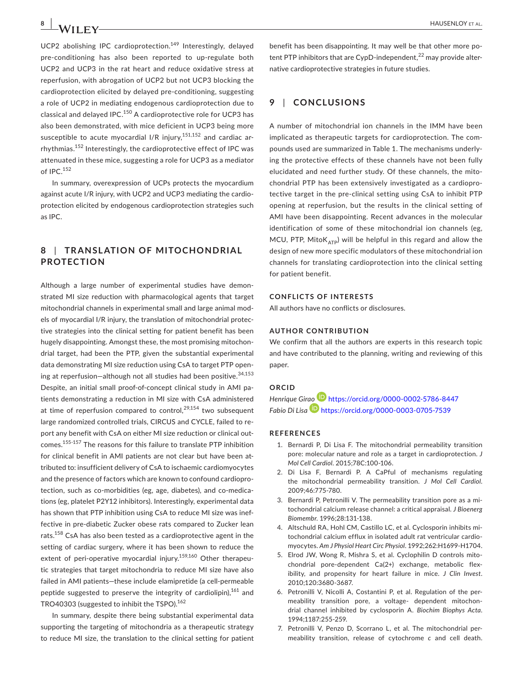UCP2 abolishing IPC cardioprotection.<sup>149</sup> Interestingly, delayed pre-conditioning has also been reported to up-regulate both UCP2 and UCP3 in the rat heart and reduce oxidative stress at reperfusion, with abrogation of UCP2 but not UCP3 blocking the cardioprotection elicited by delayed pre-conditioning, suggesting a role of UCP2 in mediating endogenous cardioprotection due to classical and delayed IPC.<sup>150</sup> A cardioprotective role for UCP3 has also been demonstrated, with mice deficient in UCP3 being more susceptible to acute myocardial  $I/R$  injury,<sup>151,152</sup> and cardiac arrhythmias.152 Interestingly, the cardioprotective effect of IPC was attenuated in these mice, suggesting a role for UCP3 as a mediator of IPC.<sup>152</sup>

In summary, overexpression of UCPs protects the myocardium against acute I/R injury, with UCP2 and UCP3 mediating the cardioprotection elicited by endogenous cardioprotection strategies such as IPC.

# **8** | **TR ANSL ATION OF MITOCHONDRIAL PROTECTION**

Although a large number of experimental studies have demonstrated MI size reduction with pharmacological agents that target mitochondrial channels in experimental small and large animal models of myocardial I/R injury, the translation of mitochondrial protective strategies into the clinical setting for patient benefit has been hugely disappointing. Amongst these, the most promising mitochondrial target, had been the PTP, given the substantial experimental data demonstrating MI size reduction using CsA to target PTP opening at reperfusion-although not all studies had been positive.<sup>34,153</sup> Despite, an initial small proof-of-concept clinical study in AMI patients demonstrating a reduction in MI size with CsA administered at time of reperfusion compared to control,  $29,154$  two subsequent large randomized controlled trials, CIRCUS and CYCLE, failed to report any benefit with CsA on either MI size reduction or clinical outcomes.155-157 The reasons for this failure to translate PTP inhibition for clinical benefit in AMI patients are not clear but have been attributed to: insufficient delivery of CsA to ischaemic cardiomyocytes and the presence of factors which are known to confound cardioprotection, such as co-morbidities (eg, age, diabetes), and co-medications (eg, platelet P2Y12 inhibitors). Interestingly, experimental data has shown that PTP inhibition using CsA to reduce MI size was ineffective in pre-diabetic Zucker obese rats compared to Zucker lean rats.<sup>158</sup> CsA has also been tested as a cardioprotective agent in the setting of cardiac surgery, where it has been shown to reduce the extent of peri-operative myocardial injury.<sup>159,160</sup> Other therapeutic strategies that target mitochondria to reduce MI size have also failed in AMI patients—these include elamipretide (a cell-permeable peptide suggested to preserve the integrity of cardiolipin),<sup>161</sup> and TRO40303 (suggested to inhibit the TSPO).<sup>162</sup>

In summary, despite there being substantial experimental data supporting the targeting of mitochondria as a therapeutic strategy to reduce MI size, the translation to the clinical setting for patient benefit has been disappointing. It may well be that other more potent PTP inhibitors that are CypD-independent, $^{22}$  may provide alternative cardioprotective strategies in future studies.

#### **9** | **CONCLUSIONS**

A number of mitochondrial ion channels in the IMM have been implicated as therapeutic targets for cardioprotection. The compounds used are summarized in Table 1. The mechanisms underlying the protective effects of these channels have not been fully elucidated and need further study. Of these channels, the mitochondrial PTP has been extensively investigated as a cardioprotective target in the pre-clinical setting using CsA to inhibit PTP opening at reperfusion, but the results in the clinical setting of AMI have been disappointing. Recent advances in the molecular identification of some of these mitochondrial ion channels (eg, MCU, PTP, Mito $K_{ATP}$ ) will be helpful in this regard and allow the design of new more specific modulators of these mitochondrial ion channels for translating cardioprotection into the clinical setting for patient benefit.

#### **CONFLICTS OF INTERESTS**

All authors have no conflicts or disclosures.

#### **AUTHOR CONTRIBUTION**

We confirm that all the authors are experts in this research topic and have contributed to the planning, writing and reviewing of this paper.

#### **ORCID**

*Henrique Gir[ao](https://orcid.org/0000-0003-0705-7539)* <https://orcid.org/0000-0002-5786-8447> *Fabio Di Lisa* <https://orcid.org/0000-0003-0705-7539>

#### **REFERENCES**

- 1. Bernardi P, Di Lisa F. The mitochondrial permeability transition pore: molecular nature and role as a target in cardioprotection. *J Mol Cell Cardiol*. 2015;78C:100-106.
- 2. Di Lisa F, Bernardi P. A CaPful of mechanisms regulating the mitochondrial permeability transition. *J Mol Cell Cardiol*. 2009;46:775-780.
- 3. Bernardi P, Petronilli V. The permeability transition pore as a mitochondrial calcium release channel: a critical appraisal. *J Bioenerg Biomembr*. 1996;28:131-138.
- 4. Altschuld RA, Hohl CM, Castillo LC, et al. Cyclosporin inhibits mitochondrial calcium efflux in isolated adult rat ventricular cardiomyocytes. *Am J Physiol Heart Circ Physiol*. 1992;262:H1699-H1704.
- 5. Elrod JW, Wong R, Mishra S, et al. Cyclophilin D controls mitochondrial pore-dependent Ca(2+) exchange, metabolic flexibility, and propensity for heart failure in mice. *J Clin Invest*. 2010;120:3680-3687.
- 6. Petronilli V, Nicolli A, Costantini P, et al. Regulation of the permeability transition pore, a voltage- dependent mitochondrial channel inhibited by cyclosporin A. *Biochim Biophys Acta*. 1994;1187:255-259.
- 7. Petronilli V, Penzo D, Scorrano L, et al. The mitochondrial permeability transition, release of cytochrome *c* and cell death.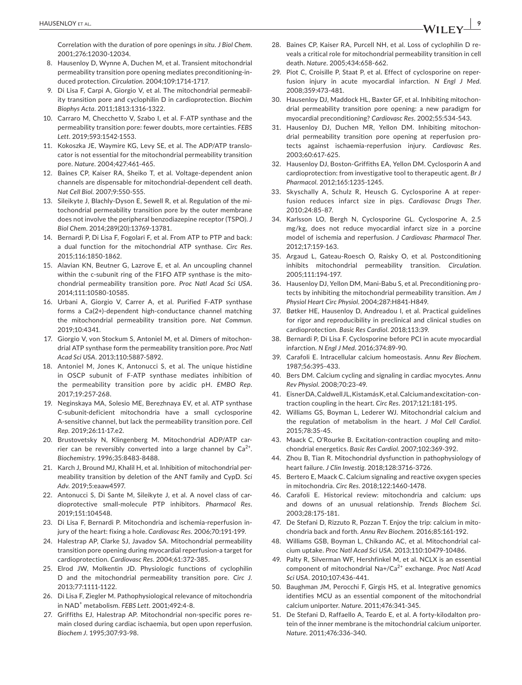Correlation with the duration of pore openings *in situ*. *J Biol Chem*. 2001;276:12030-12034.

- 8. Hausenloy D, Wynne A, Duchen M, et al. Transient mitochondrial permeability transition pore opening mediates preconditioning-induced protection. *Circulation*. 2004;109:1714-1717.
- 9. Di Lisa F, Carpi A, Giorgio V, et al. The mitochondrial permeability transition pore and cyclophilin D in cardioprotection. *Biochim Biophys Acta*. 2011;1813:1316-1322.
- 10. Carraro M, Checchetto V, Szabo I, et al. F-ATP synthase and the permeability transition pore: fewer doubts, more certainties. *FEBS Lett*. 2019;593:1542-1553.
- 11. Kokoszka JE, Waymire KG, Levy SE, et al. The ADP/ATP translocator is not essential for the mitochondrial permeability transition pore. *Nature*. 2004;427:461-465.
- 12. Baines CP, Kaiser RA, Sheiko T, et al. Voltage-dependent anion channels are dispensable for mitochondrial-dependent cell death. *Nat Cell Biol*. 2007;9:550-555.
- 13. Sileikyte J, Blachly-Dyson E, Sewell R, et al. Regulation of the mitochondrial permeability transition pore by the outer membrane does not involve the peripheral benzodiazepine receptor (TSPO). *J Biol Chem*. 2014;289(20):13769-13781.
- 14. Bernardi P, Di Lisa F, Fogolari F, et al. From ATP to PTP and back: a dual function for the mitochondrial ATP synthase. *Circ Res*. 2015;116:1850-1862.
- 15. Alavian KN, Beutner G, Lazrove E, et al. An uncoupling channel within the c-subunit ring of the F1FO ATP synthase is the mitochondrial permeability transition pore. *Proc Natl Acad Sci USA*. 2014;111:10580-10585.
- 16. Urbani A, Giorgio V, Carrer A, et al. Purified F-ATP synthase forms a Ca(2+)-dependent high-conductance channel matching the mitochondrial permeability transition pore. *Nat Commun*. 2019;10:4341.
- 17. Giorgio V, von Stockum S, Antoniel M, et al. Dimers of mitochondrial ATP synthase form the permeability transition pore. *Proc Natl Acad Sci USA*. 2013;110:5887-5892.
- 18. Antoniel M, Jones K, Antonucci S, et al. The unique histidine in OSCP subunit of F-ATP synthase mediates inhibition of the permeability transition pore by acidic pH. *EMBO Rep*. 2017;19:257-268.
- 19. Neginskaya MA, Solesio ME, Berezhnaya EV, et al. ATP synthase C-subunit-deficient mitochondria have a small cyclosporine A-sensitive channel, but lack the permeability transition pore. *Cell Rep*. 2019;26:11-17.e2.
- 20. Brustovetsky N, Klingenberg M. Mitochondrial ADP/ATP carrier can be reversibly converted into a large channel by  $Ca^{2+}$ . *Biochemistry*. 1996;35:8483-8488.
- 21. Karch J, Bround MJ, Khalil H, et al. Inhibition of mitochondrial permeability transition by deletion of the ANT family and CypD. *Sci Adv*. 2019;5:eaaw4597.
- 22. Antonucci S, Di Sante M, Sileikyte J, et al. A novel class of cardioprotective small-molecule PTP inhibitors. *Pharmacol Res*. 2019;151:104548.
- 23. Di Lisa F, Bernardi P. Mitochondria and ischemia-reperfusion injury of the heart: fixing a hole. *Cardiovasc Res*. 2006;70:191-199.
- 24. Halestrap AP, Clarke SJ, Javadov SA. Mitochondrial permeability transition pore opening during myocardial reperfusion-a target for cardioprotection. *Cardiovasc Res*. 2004;61:372-385.
- 25. Elrod JW, Molkentin JD. Physiologic functions of cyclophilin D and the mitochondrial permeability transition pore. *Circ J*. 2013;77:1111-1122.
- 26. Di Lisa F, Ziegler M. Pathophysiological relevance of mitochondria in NAD<sup>+</sup> metabolism. *FEBS Lett*. 2001;492:4-8.
- 27. Griffiths EJ, Halestrap AP. Mitochondrial non-specific pores remain closed during cardiac ischaemia, but open upon reperfusion. *Biochem J*. 1995;307:93-98.
- 28. Baines CP, Kaiser RA, Purcell NH, et al. Loss of cyclophilin D reveals a critical role for mitochondrial permeability transition in cell death. *Nature*. 2005;434:658-662.
- 29. Piot C, Croisille P, Staat P, et al. Effect of cyclosporine on reperfusion injury in acute myocardial infarction. *N Engl J Med*. 2008;359:473-481.
- 30. Hausenloy DJ, Maddock HL, Baxter GF, et al. Inhibiting mitochondrial permeability transition pore opening: a new paradigm for myocardial preconditioning? *Cardiovasc Res*. 2002;55:534-543.
- 31. Hausenloy DJ, Duchen MR, Yellon DM. Inhibiting mitochondrial permeability transition pore opening at reperfusion protects against ischaemia-reperfusion injury. *Cardiovasc Res*. 2003;60:617-625.
- 32. Hausenloy DJ, Boston-Griffiths EA, Yellon DM. Cyclosporin A and cardioprotection: from investigative tool to therapeutic agent. *Br J Pharmacol*. 2012;165:1235-1245.
- 33. Skyschally A, Schulz R, Heusch G. Cyclosporine A at reperfusion reduces infarct size in pigs. *Cardiovasc Drugs Ther*. 2010;24:85-87.
- 34. Karlsson LO, Bergh N, Cyclosporine GL. Cyclosporine A, 2.5 mg/kg, does not reduce myocardial infarct size in a porcine model of ischemia and reperfusion. *J Cardiovasc Pharmacol Ther*. 2012;17:159-163.
- 35. Argaud L, Gateau-Roesch O, Raisky O, et al. Postconditioning inhibits mitochondrial permeability transition. *Circulation*. 2005;111:194-197.
- 36. Hausenloy DJ, Yellon DM, Mani-Babu S, et al. Preconditioning protects by inhibiting the mitochondrial permeability transition. *Am J Physiol Heart Circ Physiol*. 2004;287:H841-H849.
- 37. Bøtker HE, Hausenloy D, Andreadou I, et al. Practical guidelines for rigor and reproducibility in preclinical and clinical studies on cardioprotection. *Basic Res Cardiol*. 2018;113:39.
- 38. Bernardi P, Di Lisa F. Cyclosporine before PCI in acute myocardial infarction. *N Engl J Med*. 2016;374:89-90.
- 39. Carafoli E. Intracellular calcium homeostasis. *Annu Rev Biochem*. 1987;56:395-433.
- 40. Bers DM. Calcium cycling and signaling in cardiac myocytes. *Annu Rev Physiol*. 2008;70:23-49.
- 41. Eisner DA, Caldwell JL, Kistamás K, et al. Calcium and excitation-contraction coupling in the heart. *Circ Res*. 2017;121:181-195.
- 42. Williams GS, Boyman L, Lederer WJ. Mitochondrial calcium and the regulation of metabolism in the heart. *J Mol Cell Cardiol*. 2015;78:35-45.
- 43. Maack C, O'Rourke B. Excitation-contraction coupling and mitochondrial energetics. *Basic Res Cardiol*. 2007;102:369-392.
- 44. Zhou B, Tian R. Mitochondrial dysfunction in pathophysiology of heart failure. *J Clin Investig*. 2018;128:3716-3726.
- 45. Bertero E, Maack C. Calcium signaling and reactive oxygen species in mitochondria. *Circ Res*. 2018;122:1460-1478.
- 46. Carafoli E. Historical review: mitochondria and calcium: ups and downs of an unusual relationship. *Trends Biochem Sci*. 2003;28:175-181.
- 47. De Stefani D, Rizzuto R, Pozzan T. Enjoy the trip: calcium in mitochondria back and forth. *Annu Rev Biochem*. 2016;85:161-192.
- 48. Williams GSB, Boyman L, Chikando AC, et al. Mitochondrial calcium uptake. *Proc Natl Acad Sci USA*. 2013;110:10479-10486.
- 49. Palty R, Silverman WF, Hershfinkel M, et al. NCLX is an essential component of mitochondrial Na+/Ca2+ exchange. *Proc Natl Acad Sci USA*. 2010;107:436-441.
- 50. Baughman JM, Perocchi F, Girgis HS, et al. Integrative genomics identifies MCU as an essential component of the mitochondrial calcium uniporter. *Nature*. 2011;476:341-345.
- 51. De Stefani D, Raffaello A, Teardo E, et al. A forty-kilodalton protein of the inner membrane is the mitochondrial calcium uniporter. *Nature*. 2011;476:336-340.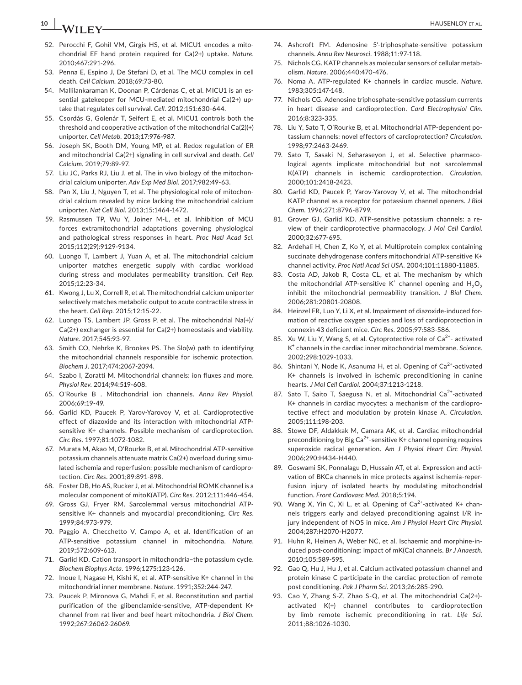# **10 b A**/**II EV b AUSENLOY** ET AL.

- 52. Perocchi F, Gohil VM, Girgis HS, et al. MICU1 encodes a mitochondrial EF hand protein required for Ca(2+) uptake. *Nature*. 2010;467:291-296.
- 53. Penna E, Espino J, De Stefani D, et al. The MCU complex in cell death. *Cell Calcium*. 2018;69:73-80.
- 54. Mallilankaraman K, Doonan P, Cárdenas C, et al. MICU1 is an essential gatekeeper for MCU-mediated mitochondrial Ca(2+) uptake that regulates cell survival. *Cell*. 2012;151:630-644.
- 55. Csordás G, Golenár T, Seifert E, et al. MICU1 controls both the threshold and cooperative activation of the mitochondrial Ca(2)(+) uniporter. *Cell Metab*. 2013;17:976-987.
- 56. Joseph SK, Booth DM, Young MP, et al. Redox regulation of ER and mitochondrial Ca(2+) signaling in cell survival and death. *Cell Calcium*. 2019;79:89-97.
- 57. Liu JC, Parks RJ, Liu J, et al. The in vivo biology of the mitochondrial calcium uniporter. *Adv Exp Med Biol*. 2017;982:49-63.
- 58. Pan X, Liu J, Nguyen T, et al. The physiological role of mitochondrial calcium revealed by mice lacking the mitochondrial calcium uniporter. *Nat Cell Biol*. 2013;15:1464-1472.
- 59. Rasmussen TP, Wu Y, Joiner M-L, et al. Inhibition of MCU forces extramitochondrial adaptations governing physiological and pathological stress responses in heart. *Proc Natl Acad Sci*. 2015;112(29):9129-9134.
- 60. Luongo T, Lambert J, Yuan A, et al. The mitochondrial calcium uniporter matches energetic supply with cardiac workload during stress and modulates permeability transition. *Cell Rep*. 2015;12:23-34.
- 61. Kwong J, Lu X, Correll R, et al. The mitochondrial calcium uniporter selectively matches metabolic output to acute contractile stress in the heart. *Cell Rep*. 2015;12:15-22.
- 62. Luongo TS, Lambert JP, Gross P, et al. The mitochondrial Na(+)/ Ca(2+) exchanger is essential for Ca(2+) homeostasis and viability. *Nature*. 2017;545:93-97.
- 63. Smith CO, Nehrke K, Brookes PS. The Slo(w) path to identifying the mitochondrial channels responsible for ischemic protection. *Biochem J*. 2017;474:2067-2094.
- 64. Szabo I, Zoratti M. Mitochondrial channels: ion fluxes and more. *Physiol Rev*. 2014;94:519-608.
- 65. O'Rourke B . Mitochondrial ion channels. *Annu Rev Physiol*. 2006;69:19-49.
- 66. Garlid KD, Paucek P, Yarov-Yarovoy V, et al. Cardioprotective effect of diazoxide and its interaction with mitochondrial ATPsensitive K+ channels. Possible mechanism of cardioprotection. *Circ Res*. 1997;81:1072-1082.
- 67. Murata M, Akao M, O'Rourke B, et al. Mitochondrial ATP-sensitive potassium channels attenuate matrix Ca(2+) overload during simulated ischemia and reperfusion: possible mechanism of cardioprotection. *Circ Res*. 2001;89:891-898.
- 68. Foster DB, Ho AS, Rucker J, et al. Mitochondrial ROMK channel is a molecular component of mitoK(ATP). *Circ Res*. 2012;111:446-454.
- 69. Gross GJ, Fryer RM. Sarcolemmal versus mitochondrial ATPsensitive K+ channels and myocardial preconditioning. *Circ Res*. 1999;84:973-979.
- 70. Paggio A, Checchetto V, Campo A, et al. Identification of an ATP-sensitive potassium channel in mitochondria. *Nature*. 2019;572:609-613.
- 71. Garlid KD. Cation transport in mitochondria–the potassium cycle. *Biochem Biophys Acta*. 1996;1275:123-126.
- 72. Inoue I, Nagase H, Kishi K, et al. ATP-sensitive K+ channel in the mitochondrial inner membrane. *Nature*. 1991;352:244-247.
- 73. Paucek P, Mironova G, Mahdi F, et al. Reconstitution and partial purification of the glibenclamide-sensitive, ATP-dependent K+ channel from rat liver and beef heart mitochondria. *J Biol Chem*. 1992;267:26062-26069.
- 74. Ashcroft FM. Adenosine 5'-triphosphate-sensitive potassium channels. *Annu Rev Neurosci*. 1988;11:97-118.
- 75. Nichols CG. KATP channels as molecular sensors of cellular metabolism. *Nature*. 2006;440:470-476.
- 76. Noma A. ATP-regulated K+ channels in cardiac muscle. *Nature*. 1983;305:147-148.
- 77. Nichols CG. Adenosine triphosphate-sensitive potassium currents in heart disease and cardioprotection. *Card Electrophysiol Clin*. 2016;8:323-335.
- 78. Liu Y, Sato T, O'Rourke B, et al. Mitochondrial ATP-dependent potassium channels: novel effectors of cardioprotection? *Circulation*. 1998;97:2463-2469.
- 79. Sato T, Sasaki N, Seharaseyon J, et al. Selective pharmacological agents implicate mitochondrial but not sarcolemmal K(ATP) channels in ischemic cardioprotection. *Circulation*. 2000;101:2418-2423.
- 80. Garlid KD, Paucek P, Yarov-Yarovoy V, et al. The mitochondrial KATP channel as a receptor for potassium channel openers. *J Biol Chem*. 1996;271:8796-8799.
- 81. Grover GJ, Garlid KD. ATP-sensitive potassium channels: a review of their cardioprotective pharmacology. *J Mol Cell Cardiol*. 2000;32:677-695.
- 82. Ardehali H, Chen Z, Ko Y, et al. Multiprotein complex containing succinate dehydrogenase confers mitochondrial ATP-sensitive K+ channel activity. *Proc Natl Acad Sci USA*. 2004;101:11880-11885.
- 83. Costa AD, Jakob R, Costa CL, et al. The mechanism by which the mitochondrial ATP-sensitive  $K^+$  channel opening and  $H_2O_2$ inhibit the mitochondrial permeability transition. *J Biol Chem*. 2006;281:20801-20808.
- 84. Heinzel FR, Luo Y, Li X, et al. Impairment of diazoxide-induced formation of reactive oxygen species and loss of cardioprotection in connexin 43 deficient mice. *Circ Res*. 2005;97:583-586.
- 85. Xu W, Liu Y, Wang S, et al. Cytoprotective role of  $Ca<sup>2+</sup>$  activated K+ channels in the cardiac inner mitochondrial membrane. *Science*. 2002;298:1029-1033.
- 86. Shintani Y, Node K, Asanuma H, et al. Opening of Ca<sup>2+</sup>-activated K+ channels is involved in ischemic preconditioning in canine hearts. *J Mol Cell Cardiol*. 2004;37:1213-1218.
- 87. Sato T, Saito T, Saegusa N, et al. Mitochondrial Ca<sup>2+</sup>-activated K+ channels in cardiac myocytes: a mechanism of the cardioprotective effect and modulation by protein kinase A. *Circulation*. 2005;111:198-203.
- 88. Stowe DF, Aldakkak M, Camara AK, et al. Cardiac mitochondrial preconditioning by Big  $Ca^{2+}$ -sensitive K+ channel opening requires superoxide radical generation. *Am J Physiol Heart Circ Physiol*. 2006;290:H434-H440.
- 89. Goswami SK, Ponnalagu D, Hussain AT, et al. Expression and activation of BKCa channels in mice protects against ischemia-reperfusion injury of isolated hearts by modulating mitochondrial function. *Front Cardiovasc Med*. 2018;5:194.
- 90. Wang X, Yin C, Xi L, et al. Opening of  $Ca<sup>2+</sup>$ -activated K+ channels triggers early and delayed preconditioning against I/R injury independent of NOS in mice. *Am J Physiol Heart Circ Physiol*. 2004;287:H2070-H2077.
- 91. Huhn R, Heinen A, Weber NC, et al. Ischaemic and morphine-induced post-conditioning: impact of mK(Ca) channels. *Br J Anaesth*. 2010;105:589-595.
- 92. Gao Q, Hu J, Hu J, et al. Calcium activated potassium channel and protein kinase C participate in the cardiac protection of remote post conditioning. *Pak J Pharm Sci*. 2013;26:285-290.
- 93. Cao Y, Zhang S-Z, Zhao S-Q, et al. The mitochondrial Ca(2+) activated K(+) channel contributes to cardioprotection by limb remote ischemic preconditioning in rat. *Life Sci*. 2011;88:1026-1030.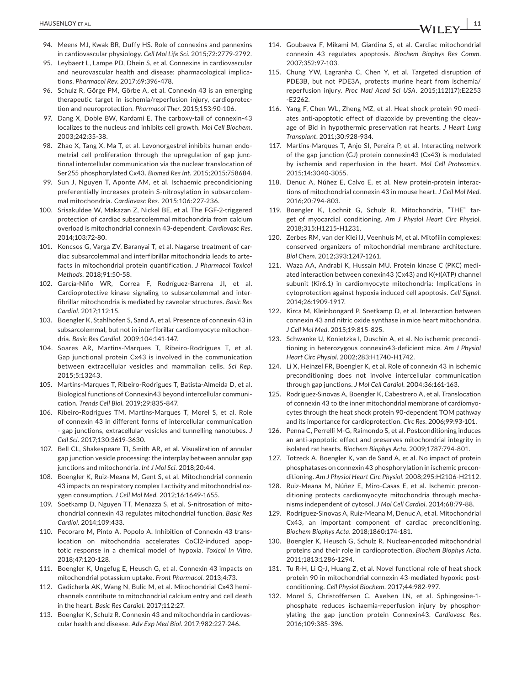- 94. Meens MJ, Kwak BR, Duffy HS. Role of connexins and pannexins in cardiovascular physiology. *Cell Mol Life Sci*. 2015;72:2779-2792.
- 95. Leybaert L, Lampe PD, Dhein S, et al. Connexins in cardiovascular and neurovascular health and disease: pharmacological implications. *Pharmacol Rev*. 2017;69:396-478.
- 96. Schulz R, Görge PM, Görbe A, et al. Connexin 43 is an emerging therapeutic target in ischemia/reperfusion injury, cardioprotection and neuroprotection. *Pharmacol Ther*. 2015;153:90-106.
- 97. Dang X, Doble BW, Kardami E. The carboxy-tail of connexin-43 localizes to the nucleus and inhibits cell growth. *Mol Cell Biochem*. 2003;242:35-38.
- 98. Zhao X, Tang X, Ma T, et al. Levonorgestrel inhibits human endometrial cell proliferation through the upregulation of gap junctional intercellular communication via the nuclear translocation of Ser255 phosphorylated Cx43. *Biomed Res Int*. 2015;2015:758684.
- 99. Sun J, Nguyen T, Aponte AM, et al. Ischaemic preconditioning preferentially increases protein S-nitrosylation in subsarcolemmal mitochondria. *Cardiovasc Res*. 2015;106:227-236.
- 100. Srisakuldee W, Makazan Z, Nickel BE, et al. The FGF-2-triggered protection of cardiac subsarcolemmal mitochondria from calcium overload is mitochondrial connexin 43-dependent. *Cardiovasc Res*. 2014;103:72-80.
- 101. Koncsos G, Varga ZV, Baranyai T, et al. Nagarse treatment of cardiac subsarcolemmal and interfibrillar mitochondria leads to artefacts in mitochondrial protein quantification. *J Pharmacol Toxicol Methods*. 2018;91:50-58.
- 102. García-Niño WR, Correa F, Rodríguez-Barrena JI, et al. Cardioprotective kinase signaling to subsarcolemmal and interfibrillar mitochondria is mediated by caveolar structures. *Basic Res Cardiol*. 2017;112:15.
- 103. Boengler K, Stahlhofen S, Sand A, et al. Presence of connexin 43 in subsarcolemmal, but not in interfibrillar cardiomyocyte mitochondria. *Basic Res Cardiol*. 2009;104:141-147.
- 104. Soares AR, Martins-Marques T, Ribeiro-Rodrigues T, et al. Gap junctional protein Cx43 is involved in the communication between extracellular vesicles and mammalian cells. *Sci Rep*. 2015;5:13243.
- 105. Martins-Marques T, Ribeiro-Rodrigues T, Batista-Almeida D, et al. Biological functions of Connexin43 beyond intercellular communication. *Trends Cell Biol*. 2019;29:835-847.
- 106. Ribeiro-Rodrigues TM, Martins-Marques T, Morel S, et al. Role of connexin 43 in different forms of intercellular communication - gap junctions, extracellular vesicles and tunnelling nanotubes. *J Cell Sci*. 2017;130:3619-3630.
- 107. Bell CL, Shakespeare TI, Smith AR, et al. Visualization of annular gap junction vesicle processing: the interplay between annular gap junctions and mitochondria. *Int J Mol Sci*. 2018;20:44.
- 108. Boengler K, Ruiz-Meana M, Gent S, et al. Mitochondrial connexin 43 impacts on respiratory complex I activity and mitochondrial oxygen consumption. *J Cell Mol Med*. 2012;16:1649-1655.
- 109. Soetkamp D, Nguyen TT, Menazza S, et al. S-nitrosation of mitochondrial connexin 43 regulates mitochondrial function. *Basic Res Cardiol*. 2014;109:433.
- 110. Pecoraro M, Pinto A, Popolo A. Inhibition of Connexin 43 translocation on mitochondria accelerates CoCl2-induced apoptotic response in a chemical model of hypoxia. *Toxicol In Vitro*. 2018;47:120-128.
- 111. Boengler K, Ungefug E, Heusch G, et al. Connexin 43 impacts on mitochondrial potassium uptake. *Front Pharmacol*. 2013;4:73.
- 112. Gadicherla AK, Wang N, Bulic M, et al. Mitochondrial Cx43 hemichannels contribute to mitochondrial calcium entry and cell death in the heart. *Basic Res Cardiol*. 2017;112:27.
- 113. Boengler K, Schulz R. Connexin 43 and mitochondria in cardiovascular health and disease. *Adv Exp Med Biol*. 2017;982:227-246.
- 114. Goubaeva F, Mikami M, Giardina S, et al. Cardiac mitochondrial connexin 43 regulates apoptosis. *Biochem Biophys Res Comm*. 2007;352:97-103.
- 115. Chung YW, Lagranha C, Chen Y, et al. Targeted disruption of PDE3B, but not PDE3A, protects murine heart from ischemia/ reperfusion injury. *Proc Natl Acad Sci USA*. 2015;112(17):E2253 -E2262.
- 116. Yang F, Chen WL, Zheng MZ, et al. Heat shock protein 90 mediates anti-apoptotic effect of diazoxide by preventing the cleavage of Bid in hypothermic preservation rat hearts. *J Heart Lung Transplant*. 2011;30:928-934.
- 117. Martins-Marques T, Anjo SI, Pereira P, et al. Interacting network of the gap junction (GJ) protein connexin43 (Cx43) is modulated by ischemia and reperfusion in the heart. *Mol Cell Proteomics*. 2015;14:3040-3055.
- 118. Denuc A, Núñez E, Calvo E, et al. New protein-protein interactions of mitochondrial connexin 43 in mouse heart. *J Cell Mol Med*. 2016;20:794-803.
- 119. Boengler K, Lochnit G, Schulz R. Mitochondria, "THE" target of myocardial conditioning. *Am J Physiol Heart Circ Physiol*. 2018;315:H1215-H1231.
- 120. Zerbes RM, van der Klei IJ, Veenhuis M, et al. Mitofilin complexes: conserved organizers of mitochondrial membrane architecture. *Biol Chem*. 2012;393:1247-1261.
- 121. Waza AA, Andrabi K, Hussain MU. Protein kinase C (PKC) mediated interaction between conexin43 (Cx43) and K(+)(ATP) channel subunit (Kir6.1) in cardiomyocyte mitochondria: Implications in cytoprotection against hypoxia induced cell apoptosis. *Cell Signal*. 2014;26:1909-1917.
- 122. Kirca M, Kleinbongard P, Soetkamp D, et al. Interaction between connexin 43 and nitric oxide synthase in mice heart mitochondria. *J Cell Mol Med*. 2015;19:815-825.
- 123. Schwanke U, Konietzka I, Duschin A, et al. No ischemic preconditioning in heterozygous connexin43-deficient mice. *Am J Physiol Heart Circ Physiol*. 2002;283:H1740-H1742.
- 124. Li X, Heinzel FR, Boengler K, et al. Role of connexin 43 in ischemic preconditioning does not involve intercellular communication through gap junctions. *J Mol Cell Cardiol*. 2004;36:161-163.
- 125. Rodriguez-Sinovas A, Boengler K, Cabestrero A, et al. Translocation of connexin 43 to the inner mitochondrial membrane of cardiomyocytes through the heat shock protein 90-dependent TOM pathway and its importance for cardioprotection. *Circ Res*. 2006;99:93-101.
- 126. Penna C, Perrelli M-G, Raimondo S, et al. Postconditioning induces an anti-apoptotic effect and preserves mitochondrial integrity in isolated rat hearts. *Biochem Biophys Acta*. 2009;1787:794-801.
- 127. Totzeck A, Boengler K, van de Sand A, et al. No impact of protein phosphatases on connexin 43 phosphorylation in ischemic preconditioning. *Am J Physiol Heart Circ Physiol*. 2008;295:H2106-H2112.
- 128. Ruiz-Meana M, Núñez E, Miro-Casas E, et al. Ischemic preconditioning protects cardiomyocyte mitochondria through mechanisms independent of cytosol. *J Mol Cell Cardiol*. 2014;68:79-88.
- 129. Rodríguez-Sinovas A, Ruiz-Meana M, Denuc A, et al. Mitochondrial Cx43, an important component of cardiac preconditioning. *Biochem Biophys Acta*. 2018;1860:174-181.
- 130. Boengler K, Heusch G, Schulz R. Nuclear-encoded mitochondrial proteins and their role in cardioprotection. *Biochem Biophys Acta*. 2011;1813:1286-1294.
- 131. Tu R-H, Li Q-J, Huang Z, et al. Novel functional role of heat shock protein 90 in mitochondrial connexin 43-mediated hypoxic postconditioning. *Cell Physiol Biochem*. 2017;44:982-997.
- 132. Morel S, Christoffersen C, Axelsen LN, et al. Sphingosine-1 phosphate reduces ischaemia-reperfusion injury by phosphorylating the gap junction protein Connexin43. *Cardiovasc Res*. 2016;109:385-396.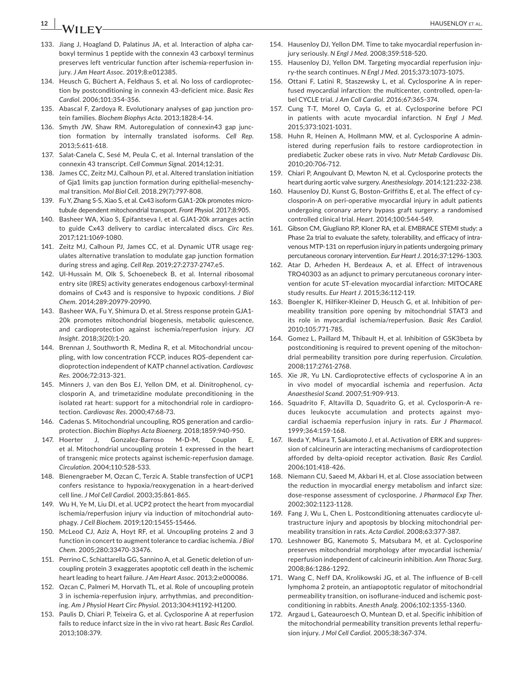# **12 b A**/**II EV b AUSENLOY** ET AL.

- 133. Jiang J, Hoagland D, Palatinus JA, et al. Interaction of alpha carboxyl terminus 1 peptide with the connexin 43 carboxyl terminus preserves left ventricular function after ischemia-reperfusion injury. *J Am Heart Assoc*. 2019;8:e012385.
- 134. Heusch G, Büchert A, Feldhaus S, et al. No loss of cardioprotection by postconditioning in connexin 43-deficient mice. *Basic Res Cardiol*. 2006;101:354-356.
- 135. Abascal F, Zardoya R. Evolutionary analyses of gap junction protein families. *Biochem Biophys Acta*. 2013;1828:4-14.
- 136. Smyth JW, Shaw RM. Autoregulation of connexin43 gap junction formation by internally translated isoforms. *Cell Rep*. 2013;5:611-618.
- 137. Salat-Canela C, Sesé M, Peula C, et al. Internal translation of the connexin 43 transcript. *Cell Commun Signal*. 2014;12:31.
- 138. James CC, Zeitz MJ, Calhoun PJ, et al. Altered translation initiation of Gja1 limits gap junction formation during epithelial-mesenchymal transition. *Mol Biol Cell*. 2018.29(7):797-808.
- 139. Fu Y, Zhang S-S, Xiao S, et al. Cx43 isoform GJA1-20k promotes microtubule dependent mitochondrial transport. *Front Physiol*. 2017;8:905.
- 140. Basheer WA, Xiao S, Epifantseva I, et al. GJA1-20k arranges actin to guide Cx43 delivery to cardiac intercalated discs. *Circ Res*. 2017;121:1069-1080.
- 141. Zeitz MJ, Calhoun PJ, James CC, et al. Dynamic UTR usage regulates alternative translation to modulate gap junction formation during stress and aging. *Cell Rep*. 2019;27:2737-2747.e5.
- 142. Ul-Hussain M, Olk S, Schoenebeck B, et al. Internal ribosomal entry site (IRES) activity generates endogenous carboxyl-terminal domains of Cx43 and is responsive to hypoxic conditions. *J Biol Chem*. 2014;289:20979-20990.
- 143. Basheer WA, Fu Y, Shimura D, et al. Stress response protein GJA1- 20k promotes mitochondrial biogenesis, metabolic quiescence, and cardioprotection against ischemia/reperfusion injury. *JCI Insight*. 2018;3(20):1-20.
- 144. Brennan J, Southworth R, Medina R, et al. Mitochondrial uncoupling, with low concentration FCCP, induces ROS-dependent cardioprotection independent of KATP channel activation. *Cardiovasc Res*. 2006;72:313-321.
- 145. Minners J, van den Bos EJ, Yellon DM, et al. Dinitrophenol, cyclosporin A, and trimetazidine modulate preconditioning in the isolated rat heart: support for a mitochondrial role in cardioprotection. *Cardiovasc Res*. 2000;47:68-73.
- 146. Cadenas S. Mitochondrial uncoupling, ROS generation and cardioprotection. *Biochim Biophys Acta Bioenerg*. 2018;1859:940-950.
- 147. Hoerter J, Gonzalez-Barroso M-D-M, Couplan E, et al. Mitochondrial uncoupling protein 1 expressed in the heart of transgenic mice protects against ischemic-reperfusion damage. *Circulation*. 2004;110:528-533.
- 148. Bienengraeber M, Ozcan C, Terzic A. Stable transfection of UCP1 confers resistance to hypoxia/reoxygenation in a heart-derived cell line. *J Mol Cell Cardiol*. 2003;35:861-865.
- 149. Wu H, Ye M, Liu DI, et al. UCP2 protect the heart from myocardial ischemia/reperfusion injury via induction of mitochondrial autophagy. *J Cell Biochem*. 2019;120:15455-15466.
- 150. McLeod CJ, Aziz A, Hoyt RF, et al. Uncoupling proteins 2 and 3 function in concert to augment tolerance to cardiac ischemia. *J Biol Chem*. 2005;280:33470-33476.
- 151. Perrino C, Schiattarella GG, Sannino A, et al. Genetic deletion of uncoupling protein 3 exaggerates apoptotic cell death in the ischemic heart leading to heart failure. *J Am Heart Assoc*. 2013;2:e000086.
- 152. Ozcan C, Palmeri M, Horvath TL, et al. Role of uncoupling protein 3 in ischemia-reperfusion injury, arrhythmias, and preconditioning. *Am J Physiol Heart Circ Physiol*. 2013;304:H1192-H1200.
- 153. Paulis D, Chiari P, Teixeira G, et al. Cyclosporine A at reperfusion fails to reduce infarct size in the in vivo rat heart. *Basic Res Cardiol*. 2013;108:379.
- 154. Hausenloy DJ, Yellon DM. Time to take myocardial reperfusion injury seriously. *N Engl J Med*. 2008;359:518-520.
- 155. Hausenloy DJ, Yellon DM. Targeting myocardial reperfusion injury-the search continues. *N Engl J Med*. 2015;373:1073-1075.
- 156. Ottani F, Latini R, Staszewsky L, et al. Cyclosporine A in reperfused myocardial infarction: the multicenter, controlled, open-label CYCLE trial. *J Am Coll Cardiol*. 2016;67:365-374.
- 157. Cung T-T, Morel O, Cayla G, et al. Cyclosporine before PCI in patients with acute myocardial infarction. *N Engl J Med*. 2015;373:1021-1031.
- 158. Huhn R, Heinen A, Hollmann MW, et al. Cyclosporine A administered during reperfusion fails to restore cardioprotection in prediabetic Zucker obese rats in vivo. *Nutr Metab Cardiovasc Dis*. 2010;20:706-712.
- 159. Chiari P, Angoulvant D, Mewton N, et al. Cyclosporine protects the heart during aortic valve surgery. *Anesthesiology*. 2014;121:232-238.
- 160. Hausenloy DJ, Kunst G, Boston-Griffiths E, et al. The effect of cyclosporin-A on peri-operative myocardial injury in adult patients undergoing coronary artery bypass graft surgery: a randomised controlled clinical trial. *Heart*. 2014;100:544-549.
- 161. Gibson CM, Giugliano RP, Kloner RA, et al. EMBRACE STEMI study: a Phase 2a trial to evaluate the safety, tolerability, and efficacy of intravenous MTP-131 on reperfusion injury in patients undergoing primary percutaneous coronary intervention. *Eur Heart J*. 2016;37:1296-1303.
- 162. Atar D, Arheden H, Berdeaux A, et al. Effect of intravenous TRO40303 as an adjunct to primary percutaneous coronary intervention for acute ST-elevation myocardial infarction: MITOCARE study results. *Eur Heart J*. 2015;36:112-119.
- 163. Boengler K, Hilfiker-Kleiner D, Heusch G, et al. Inhibition of permeability transition pore opening by mitochondrial STAT3 and its role in myocardial ischemia/reperfusion. *Basic Res Cardiol*. 2010;105:771-785.
- 164. Gomez L, Paillard M, Thibault H, et al. Inhibition of GSK3beta by postconditioning is required to prevent opening of the mitochondrial permeability transition pore during reperfusion. *Circulation*. 2008;117:2761-2768.
- 165. Xie JR, Yu LN. Cardioprotective effects of cyclosporine A in an in vivo model of myocardial ischemia and reperfusion. *Acta Anaesthesiol Scand*. 2007;51:909-913.
- 166. Squadrito F, Altavilla D, Squadrito G, et al. Cyclosporin-A reduces leukocyte accumulation and protects against myocardial ischaemia reperfusion injury in rats. *Eur J Pharmacol*. 1999;364:159-168.
- 167. Ikeda Y, Miura T, Sakamoto J, et al. Activation of ERK and suppression of calcineurin are interacting mechanisms of cardioprotection afforded by delta-opioid receptor activation. *Basic Res Cardiol*. 2006;101:418-426.
- 168. Niemann CU, Saeed M, Akbari H, et al. Close association between the reduction in myocardial energy metabolism and infarct size: dose-response assessment of cyclosporine. *J Pharmacol Exp Ther*. 2002;302:1123-1128.
- 169. Fang J, Wu L, Chen L. Postconditioning attenuates cardiocyte ultrastructure injury and apoptosis by blocking mitochondrial permeability transition in rats. *Acta Cardiol*. 2008;63:377-387.
- 170. Leshnower BG, Kanemoto S, Matsubara M, et al. Cyclosporine preserves mitochondrial morphology after myocardial ischemia/ reperfusion independent of calcineurin inhibition. *Ann Thorac Surg*. 2008;86:1286-1292.
- 171. Wang C, Neff DA, Krolikowski JG, et al. The influence of B-cell lymphoma 2 protein, an antiapoptotic regulator of mitochondrial permeability transition, on isoflurane-induced and ischemic postconditioning in rabbits. *Anesth Analg*. 2006;102:1355-1360.
- 172. Argaud L, Gateauroesch O, Muntean D, et al. Specific inhibition of the mitochondrial permeability transition prevents lethal reperfusion injury. *J Mol Cell Cardiol*. 2005;38:367-374.